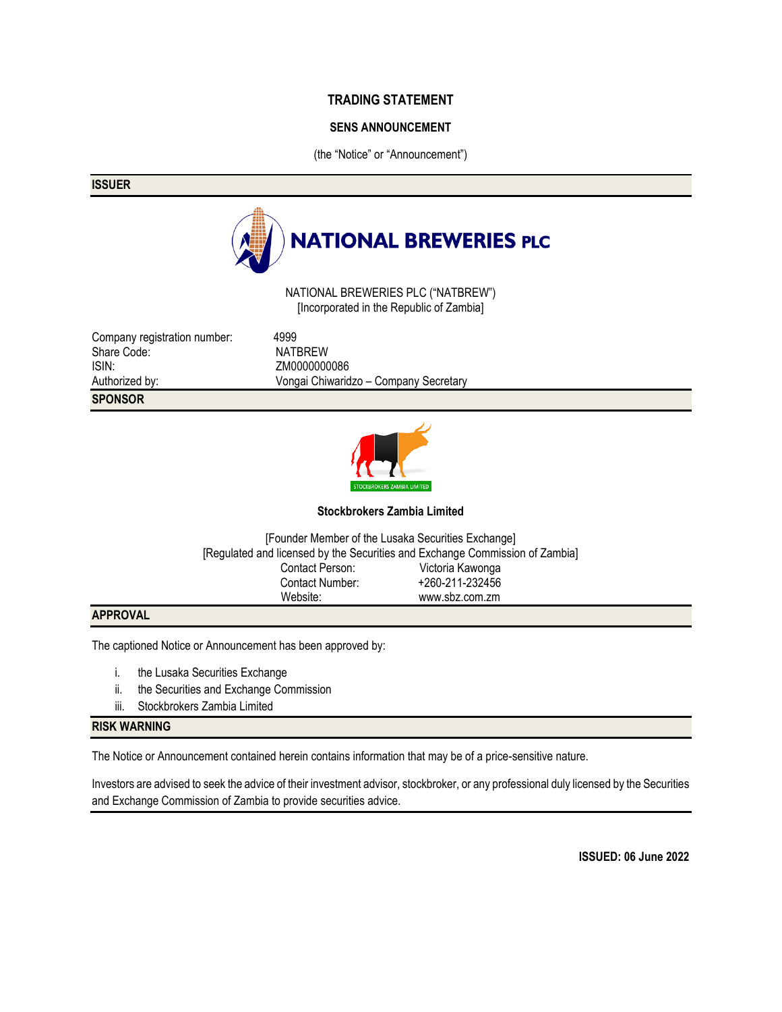# **TRADING STATEMENT**

## **SENS ANNOUNCEMENT**

(the "Notice" or "Announcement")

#### **ISSUER**



NATIONAL BREWERIES PLC ("NATBREW") [Incorporated in the Republic of Zambia]

Company registration number: 4999 Share Code: NATBREW<br>
SIN: ZM0000000 ZM0000000086 Authorized by: Vongai Chiwaridzo – Company Secretary **SPONSOR**

**Stockbrokers Zambia Limited**

[Founder Member of the Lusaka Securities Exchange] [Regulated and licensed by the Securities and Exchange Commission of Zambia] Contact Person: Victoria Kawonga Contact Number: +260-211-232456 Website: www.sbz.com.zm

## **APPROVAL**

The captioned Notice or Announcement has been approved by:

- i. the Lusaka Securities Exchange
- ii. the Securities and Exchange Commission
- iii. Stockbrokers Zambia Limited

### **RISK WARNING**

The Notice or Announcement contained herein contains information that may be of a price-sensitive nature.

Investors are advised to seek the advice of their investment advisor, stockbroker, or any professional duly licensed by the Securities and Exchange Commission of Zambia to provide securities advice.

**ISSUED: 06 June 2022**